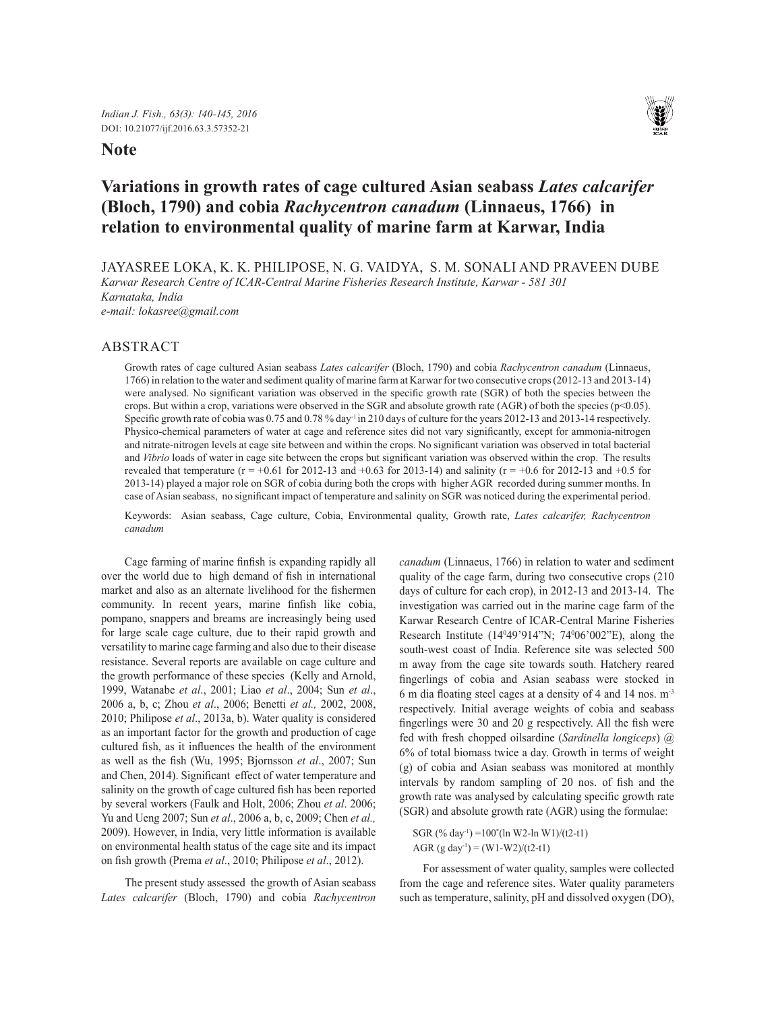### **Note**



# **Variations in growth rates of cage cultured Asian seabass** *Lates calcarifer*  **(Bloch, 1790) and cobia** *Rachycentron canadum* **(Linnaeus, 1766) in relation to environmental quality of marine farm at Karwar, India**

JAYASREE LOKA, K. K. PHILIPOSE, N. G. VAIDYA, S. M. SONALI AND PRAVEEN DUBE

*Karwar Research Centre of ICAR-Central Marine Fisheries Research Institute, Karwar - 581 301*

*Karnataka, India e-mail: lokasree@gmail.com*

## ABSTRACT

Growth rates of cage cultured Asian seabass *Lates calcarifer* (Bloch, 1790) and cobia *Rachycentron canadum* (Linnaeus, 1766) in relation to the water and sediment quality of marine farm at Karwar for two consecutive crops (2012-13 and 2013-14) were analysed. No significant variation was observed in the specific growth rate (SGR) of both the species between the crops. But within a crop, variations were observed in the SGR and absolute growth rate (AGR) of both the species (p<0.05). Specific growth rate of cobia was 0.75 and 0.78 % day-1 in 210 days of culture for the years 2012-13 and 2013-14 respectively. Physico-chemical parameters of water at cage and reference sites did not vary significantly, except for ammonia-nitrogen and nitrate-nitrogen levels at cage site between and within the crops. No significant variation was observed in total bacterial and *Vibrio* loads of water in cage site between the crops but significant variation was observed within the crop. The results revealed that temperature ( $r = +0.61$  for 2012-13 and  $+0.63$  for 2013-14) and salinity ( $r = +0.6$  for 2012-13 and  $+0.5$  for 2013-14) played a major role on SGR of cobia during both the crops with higher AGR recorded during summer months. In case of Asian seabass, no significant impact of temperature and salinity on SGR was noticed during the experimental period.

Keywords: Asian seabass, Cage culture, Cobia, Environmental quality, Growth rate, *Lates calcarifer, Rachycentron canadum*

Cage farming of marine finfish is expanding rapidly all over the world due to high demand of fish in international market and also as an alternate livelihood for the fishermen community. In recent years, marine finfish like cobia, pompano, snappers and breams are increasingly being used for large scale cage culture, due to their rapid growth and versatility to marine cage farming and also due to their disease resistance. Several reports are available on cage culture and the growth performance of these species (Kelly and Arnold, 1999, Watanabe *et al*., 2001; Liao *et al*., 2004; Sun *et al*., 2006 a, b, c; Zhou *et al*., 2006; Benetti *et al.,* 2002, 2008, 2010; Philipose *et al*., 2013a, b). Water quality is considered as an important factor for the growth and production of cage cultured fish, as it influences the health of the environment as well as the fish (Wu, 1995; Bjornsson *et al*., 2007; Sun and Chen, 2014). Significant effect of water temperature and salinity on the growth of cage cultured fish has been reported by several workers (Faulk and Holt, 2006; Zhou *et al*. 2006; Yu and Ueng 2007; Sun *et al*., 2006 a, b, c, 2009; Chen *et al.,* 2009). However, in India, very little information is available on environmental health status of the cage site and its impact on fish growth (Prema *et al*., 2010; Philipose *et al*., 2012).

The present study assessed the growth of Asian seabass *Lates calcarifer* (Bloch, 1790) and cobia *Rachycentron*  *canadum* (Linnaeus, 1766) in relation to water and sediment quality of the cage farm, during two consecutive crops (210 days of culture for each crop), in 2012-13 and 2013-14. The investigation was carried out in the marine cage farm of the Karwar Research Centre of ICAR-Central Marine Fisheries Research Institute (140 49'914"N; 740 06'002"E), along the south-west coast of India. Reference site was selected 500 m away from the cage site towards south. Hatchery reared fingerlings of cobia and Asian seabass were stocked in 6 m dia floating steel cages at a density of 4 and 14 nos. m-3 respectively. Initial average weights of cobia and seabass fingerlings were 30 and 20 g respectively. All the fish were fed with fresh chopped oilsardine (*Sardinella longiceps*) @ 6% of total biomass twice a day. Growth in terms of weight (g) of cobia and Asian seabass was monitored at monthly intervals by random sampling of 20 nos. of fish and the growth rate was analysed by calculating specific growth rate (SGR) and absolute growth rate (AGR) using the formulae:

```
SGR (% day-1) =100*
(ln W2-ln W1)/(t2-t1)
AGR (g day<sup>-1</sup>) = (W1-W2)/(t2-t1)
```
For assessment of water quality, samples were collected from the cage and reference sites. Water quality parameters such as temperature, salinity, pH and dissolved oxygen (DO),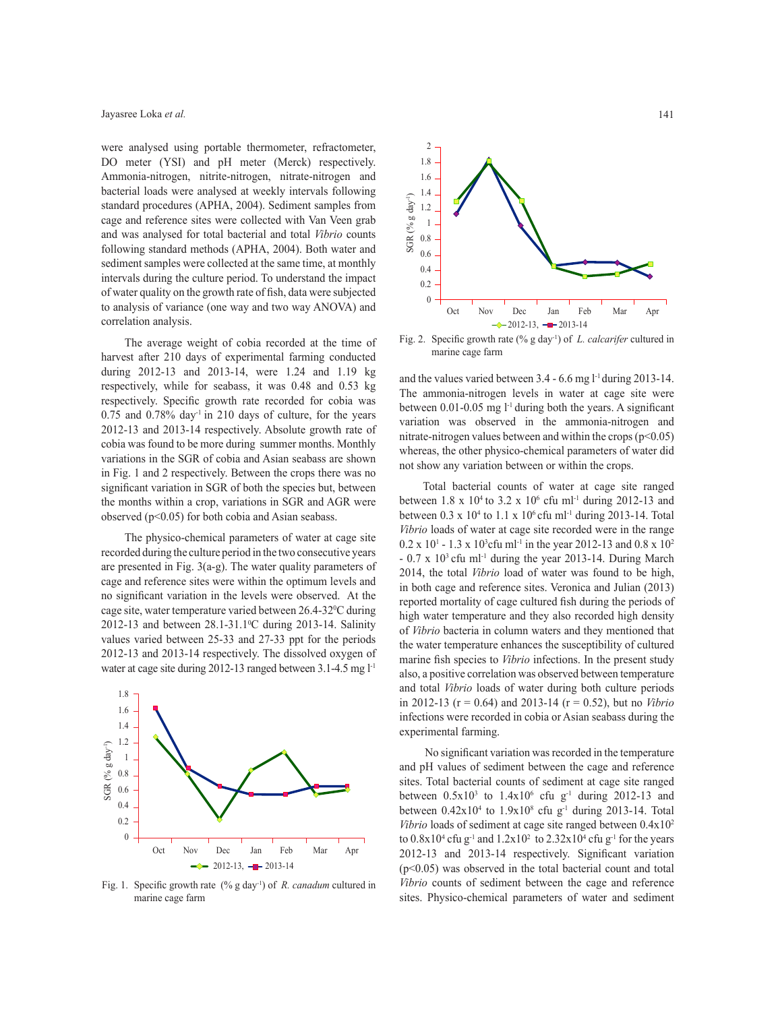were analysed using portable thermometer, refractometer, DO meter (YSI) and pH meter (Merck) respectively. Ammonia-nitrogen, nitrite-nitrogen, nitrate-nitrogen and bacterial loads were analysed at weekly intervals following standard procedures (APHA, 2004). Sediment samples from cage and reference sites were collected with Van Veen grab and was analysed for total bacterial and total *Vibrio* counts following standard methods (APHA, 2004). Both water and sediment samples were collected at the same time, at monthly intervals during the culture period. To understand the impact of water quality on the growth rate of fish, data were subjected to analysis of variance (one way and two way ANOVA) and correlation analysis.

The average weight of cobia recorded at the time of harvest after 210 days of experimental farming conducted during 2012-13 and 2013-14, were 1.24 and 1.19 kg respectively, while for seabass, it was 0.48 and 0.53 kg respectively. Specific growth rate recorded for cobia was  $0.75$  and  $0.78\%$  day<sup>-1</sup> in 210 days of culture, for the years 2012-13 and 2013-14 respectively. Absolute growth rate of cobia was found to be more during summer months. Monthly variations in the SGR of cobia and Asian seabass are shown in Fig. 1 and 2 respectively. Between the crops there was no significant variation in SGR of both the species but, between the months within a crop, variations in SGR and AGR were observed ( $p<0.05$ ) for both cobia and Asian seabass.

The physico-chemical parameters of water at cage site recorded during the culture period in the two consecutive years are presented in Fig. 3(a-g). The water quality parameters of cage and reference sites were within the optimum levels and no significant variation in the levels were observed. At the cage site, water temperature varied between 26.4-320 C during 2012-13 and between  $28.1 - 31.1$ <sup>o</sup>C during 2013-14. Salinity values varied between 25-33 and 27-33 ppt for the periods 2012-13 and 2013-14 respectively. The dissolved oxygen of water at cage site during 2012-13 ranged between 3.1-4.5 mg l<sup>-1</sup>



Fig. 1. Specific growth rate (% g day-1) of *R. canadum* cultured in marine cage farm



Fig. 2. Specific growth rate (% g day-1) of *L. calcarifer* cultured in marine cage farm

and the values varied between 3.4 - 6.6 mg l<sup>-1</sup> during 2013-14. The ammonia-nitrogen levels in water at cage site were between  $0.01$ -0.05 mg  $l$ <sup>-1</sup> during both the years. A significant variation was observed in the ammonia-nitrogen and nitrate-nitrogen values between and within the crops  $(p<0.05)$ whereas, the other physico-chemical parameters of water did not show any variation between or within the crops.

Total bacterial counts of water at cage site ranged between 1.8 x  $10^4$  to 3.2 x  $10^6$  cfu ml<sup>-1</sup> during 2012-13 and between  $0.3 \times 10^4$  to  $1.1 \times 10^6$  cfu ml<sup>-1</sup> during 2013-14. Total *Vibrio* loads of water at cage site recorded were in the range  $0.2 \times 10^{1}$  - 1.3 x 10<sup>3</sup> cfu ml<sup>-1</sup> in the year 2012-13 and 0.8 x 10<sup>2</sup>  $- 0.7$  x  $10<sup>3</sup>$  cfu ml<sup>-1</sup> during the year 2013-14. During March 2014, the total *Vibrio* load of water was found to be high, in both cage and reference sites. Veronica and Julian (2013) reported mortality of cage cultured fish during the periods of high water temperature and they also recorded high density of *Vibrio* bacteria in column waters and they mentioned that the water temperature enhances the susceptibility of cultured marine fish species to *Vibrio* infections. In the present study also, a positive correlation was observed between temperature and total *Vibrio* loads of water during both culture periods in 2012-13 (r = 0.64) and 2013-14 (r = 0.52), but no *Vibrio* infections were recorded in cobia or Asian seabass during the experimental farming.

No significant variation was recorded in the temperature and pH values of sediment between the cage and reference sites. Total bacterial counts of sediment at cage site ranged between  $0.5x10^3$  to  $1.4x10^6$  cfu g<sup>-1</sup> during 2012-13 and between  $0.42 \times 10^4$  to  $1.9 \times 10^8$  cfu g<sup>-1</sup> during 2013-14. Total *Vibrio* loads of sediment at cage site ranged between  $0.4x10^2$ to  $0.8x10^4$  cfu g<sup>-1</sup> and  $1.2x10^2$  to  $2.32x10^4$  cfu g<sup>-1</sup> for the years 2012-13 and 2013-14 respectively. Significant variation (p<0.05) was observed in the total bacterial count and total *Vibrio* counts of sediment between the cage and reference sites. Physico-chemical parameters of water and sediment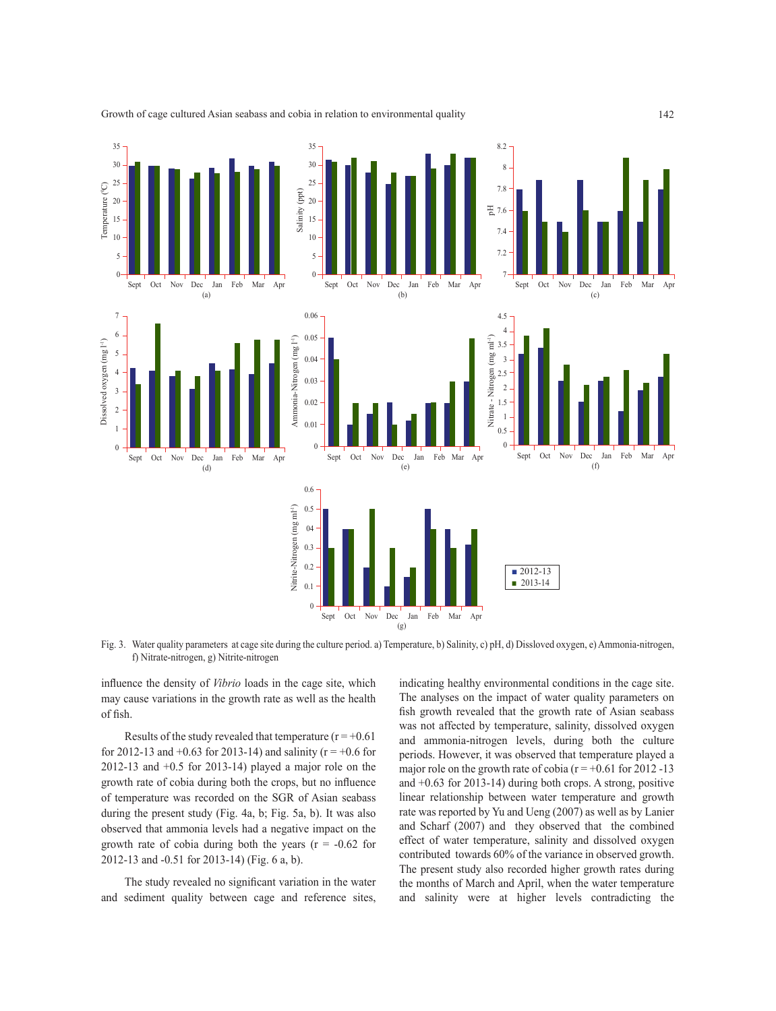

Growth of cage cultured Asian seabass and cobia in relation to environmental quality

Fig. 3. Water quality parameters at cage site during the culture period. a) Temperature, b) Salinity, c) pH, d) Dissloved oxygen, e) Ammonia-nitrogen, f) Nitrate-nitrogen, g) Nitrite-nitrogen

influence the density of *Vibrio* loads in the cage site, which may cause variations in the growth rate as well as the health of fish.

Results of the study revealed that temperature ( $r = +0.61$ ) for 2012-13 and +0.63 for 2013-14) and salinity ( $r = +0.6$  for 2012-13 and +0.5 for 2013-14) played a major role on the growth rate of cobia during both the crops, but no influence of temperature was recorded on the SGR of Asian seabass during the present study (Fig. 4a, b; Fig. 5a, b). It was also observed that ammonia levels had a negative impact on the growth rate of cobia during both the years  $(r = -0.62$  for 2012-13 and -0.51 for 2013-14) (Fig. 6 a, b).

The study revealed no significant variation in the water and sediment quality between cage and reference sites, indicating healthy environmental conditions in the cage site. The analyses on the impact of water quality parameters on fish growth revealed that the growth rate of Asian seabass was not affected by temperature, salinity, dissolved oxygen and ammonia-nitrogen levels, during both the culture periods. However, it was observed that temperature played a major role on the growth rate of cobia ( $r = +0.61$  for 2012 -13 and +0.63 for 2013-14) during both crops. A strong, positive linear relationship between water temperature and growth rate was reported by Yu and Ueng (2007) as well as by Lanier and Scharf (2007) and they observed that the combined effect of water temperature, salinity and dissolved oxygen contributed towards 60% of the variance in observed growth. The present study also recorded higher growth rates during the months of March and April, when the water temperature and salinity were at higher levels contradicting the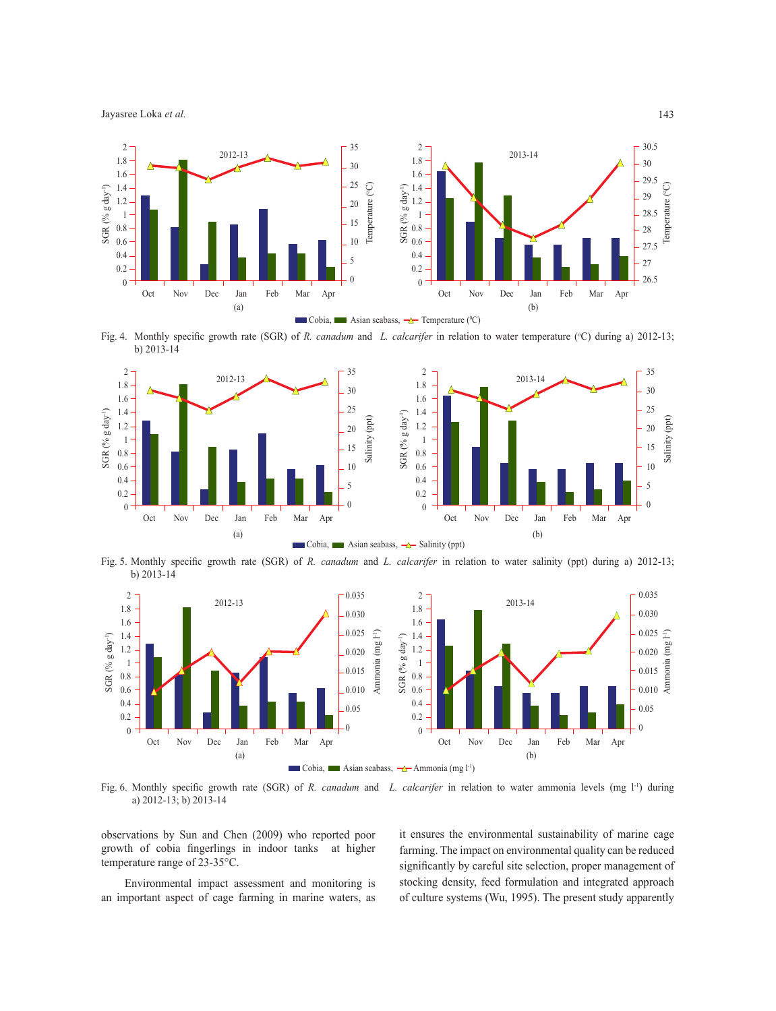Jayasree Loka *et al.*



Fig. 4. Monthly specific growth rate (SGR) of *R. canadum* and *L. calcarifer* in relation to water temperature (°C) during a) 2012-13; b) 2013-14



Fig. 5. Monthly specific growth rate (SGR) of *R. canadum* and *L. calcarifer* in relation to water salinity (ppt) during a) 2012-13; b) 2013-14



Fig. 6. Monthly specific growth rate (SGR) of *R. canadum* and *L. calcarifer* in relation to water ammonia levels (mg l<sup>-1</sup>) during a) 2012-13; b) 2013-14

observations by Sun and Chen (2009) who reported poor growth of cobia fingerlings in indoor tanks at higher temperature range of 23-35°C.

Environmental impact assessment and monitoring is an important aspect of cage farming in marine waters, as it ensures the environmental sustainability of marine cage farming. The impact on environmental quality can be reduced significantly by careful site selection, proper management of stocking density, feed formulation and integrated approach of culture systems (Wu, 1995). The present study apparently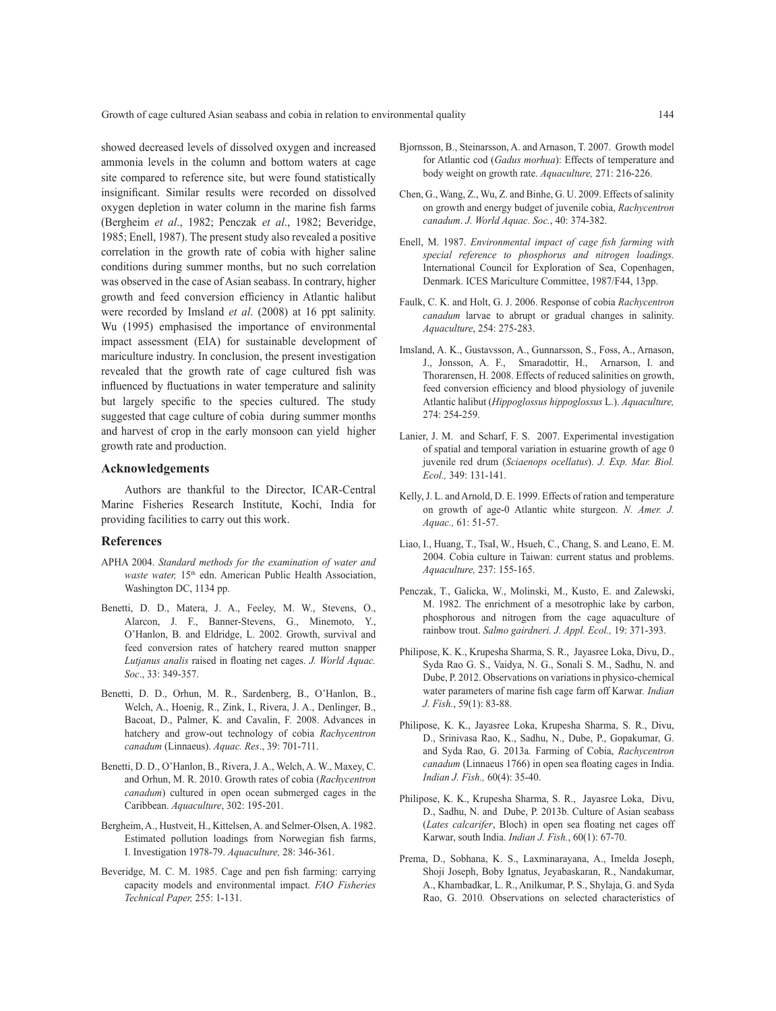showed decreased levels of dissolved oxygen and increased ammonia levels in the column and bottom waters at cage site compared to reference site, but were found statistically insignificant. Similar results were recorded on dissolved oxygen depletion in water column in the marine fish farms (Bergheim *et al*., 1982; Penczak *et al*., 1982; Beveridge, 1985; Enell, 1987). The present study also revealed a positive correlation in the growth rate of cobia with higher saline conditions during summer months, but no such correlation was observed in the case of Asian seabass. In contrary, higher growth and feed conversion efficiency in Atlantic halibut were recorded by Imsland *et al*. (2008) at 16 ppt salinity. Wu (1995) emphasised the importance of environmental impact assessment (EIA) for sustainable development of mariculture industry. In conclusion, the present investigation revealed that the growth rate of cage cultured fish was influenced by fluctuations in water temperature and salinity but largely specific to the species cultured. The study suggested that cage culture of cobia during summer months and harvest of crop in the early monsoon can yield higher growth rate and production.

#### **Acknowledgements**

Authors are thankful to the Director, ICAR-Central Marine Fisheries Research Institute, Kochi, India for providing facilities to carry out this work.

#### **References**

- APHA 2004. *Standard methods for the examination of water and waste water*, 15<sup>th</sup> edn. American Public Health Association, Washington DC, 1134 pp.
- Benetti, D. D., Matera, J. A., Feeley, M. W., Stevens, O., Alarcon, J. F., Banner-Stevens, G., Minemoto, Y., O'Hanlon, B. and Eldridge, L. 2002. Growth, survival and feed conversion rates of hatchery reared mutton snapper *Lutjanus analis* raised in floating net cages. *J. World Aquac. Soc*., 33: 349-357.
- Benetti, D. D., Orhun, M. R., Sardenberg, B., O'Hanlon, B., Welch, A., Hoenig, R., Zink, I., Rivera, J. A., Denlinger, B., Bacoat, D., Palmer, K. and Cavalin, F. 2008. Advances in hatchery and grow-out technology of cobia *Rachycentron canadum* (Linnaeus). *Aquac. Res*., 39: 701-711.
- Benetti, D. D., O'Hanlon, B., Rivera, J. A., Welch, A. W., Maxey, C. and Orhun, M. R. 2010. Growth rates of cobia (*Rachycentron canadum*) cultured in open ocean submerged cages in the Caribbean. *Aquaculture*, 302: 195-201.
- Bergheim, A., Hustveit, H., Kittelsen, A. and Selmer-Olsen, A. 1982. Estimated pollution loadings from Norwegian fish farms, I. Investigation 1978-79. *Aquaculture,* 28: 346-361.
- Beveridge, M. C. M. 1985. Cage and pen fish farming: carrying capacity models and environmental impact. *FAO Fisheries Technical Paper,* 255: 1-131.
- Bjornsson, B., Steinarsson, A. and Arnason, T. 2007. Growth model for Atlantic cod (*Gadus morhua*): Effects of temperature and body weight on growth rate. *Aquaculture,* 271: 216-226.
- Chen, G., Wang, Z., Wu, Z. and Binhe, G. U. 2009. Effects of salinity on growth and energy budget of juvenile cobia, *Rachycentron canadum*. *J. World Aquac. Soc.*, 40: 374-382.
- Enell, M. 1987. *Environmental impact of cage fish farming with special reference to phosphorus and nitrogen loadings*. International Council for Exploration of Sea, Copenhagen, Denmark. ICES Mariculture Committee, 1987/F44, 13pp.
- Faulk, C. K. and Holt, G. J. 2006. Response of cobia *Rachycentron canadum* larvae to abrupt or gradual changes in salinity. *Aquaculture*, 254: 275-283.
- Imsland, A. K., Gustavsson, A., Gunnarsson, S., Foss, A., Arnason, J., Jonsson, A. F., Smaradottir, H., Arnarson, I. and Thorarensen, H. 2008. Effects of reduced salinities on growth, feed conversion efficiency and blood physiology of juvenile Atlantic halibut (*Hippoglossus hippoglossus* L.). *Aquaculture,* 274: 254-259.
- Lanier, J. M. and Scharf, F. S. 2007. Experimental investigation of spatial and temporal variation in estuarine growth of age 0 juvenile red drum (*Sciaenops ocellatus*). *J. Exp. Mar. Biol. Ecol.,* 349: 131-141.
- Kelly, J. L. and Arnold, D. E. 1999. Effects of ration and temperature on growth of age-0 Atlantic white sturgeon. *N. Amer. J. Aquac.,* 61: 51-57.
- Liao, I., Huang, T., TsaI, W., Hsueh, C., Chang, S. and Leano, E. M. 2004. Cobia culture in Taiwan: current status and problems. *Aquaculture,* 237: 155-165.
- Penczak, T., Galicka, W., Molinski, M., Kusto, E. and Zalewski, M. 1982. The enrichment of a mesotrophic lake by carbon, phosphorous and nitrogen from the cage aquaculture of rainbow trout. *Salmo gairdneri. J. Appl. Ecol.,* 19: 371-393.
- Philipose, K. K., Krupesha Sharma, S. R., Jayasree Loka, Divu, D., Syda Rao G. S., Vaidya, N. G., Sonali S. M., Sadhu, N. and Dube, P. 2012. Observations on variations in physico-chemical water parameters of marine fish cage farm off Karwar*. Indian J. Fish.*, 59(1): 83-88.
- Philipose, K. K., Jayasree Loka, Krupesha Sharma, S. R., Divu, D., Srinivasa Rao, K., Sadhu, N., Dube, P., Gopakumar, G. and Syda Rao, G. 2013a*.* Farming of Cobia, *Rachycentron canadum* (Linnaeus 1766) in open sea floating cages in India. *Indian J. Fish.,* 60(4): 35-40.
- Philipose, K. K., Krupesha Sharma, S. R., Jayasree Loka, Divu, D., Sadhu, N. and Dube, P. 2013b. Culture of Asian seabass (*Lates calcarifer*, Bloch) in open sea floating net cages off Karwar, south India. *Indian J. Fish.*, 60(1): 67-70.
- Prema, D., Sobhana, K. S., Laxminarayana, A., Imelda Joseph, Shoji Joseph, Boby Ignatus, Jeyabaskaran, R., Nandakumar, A., Khambadkar, L. R., Anilkumar, P. S., Shylaja, G. and Syda Rao, G. 2010*.* Observations on selected characteristics of